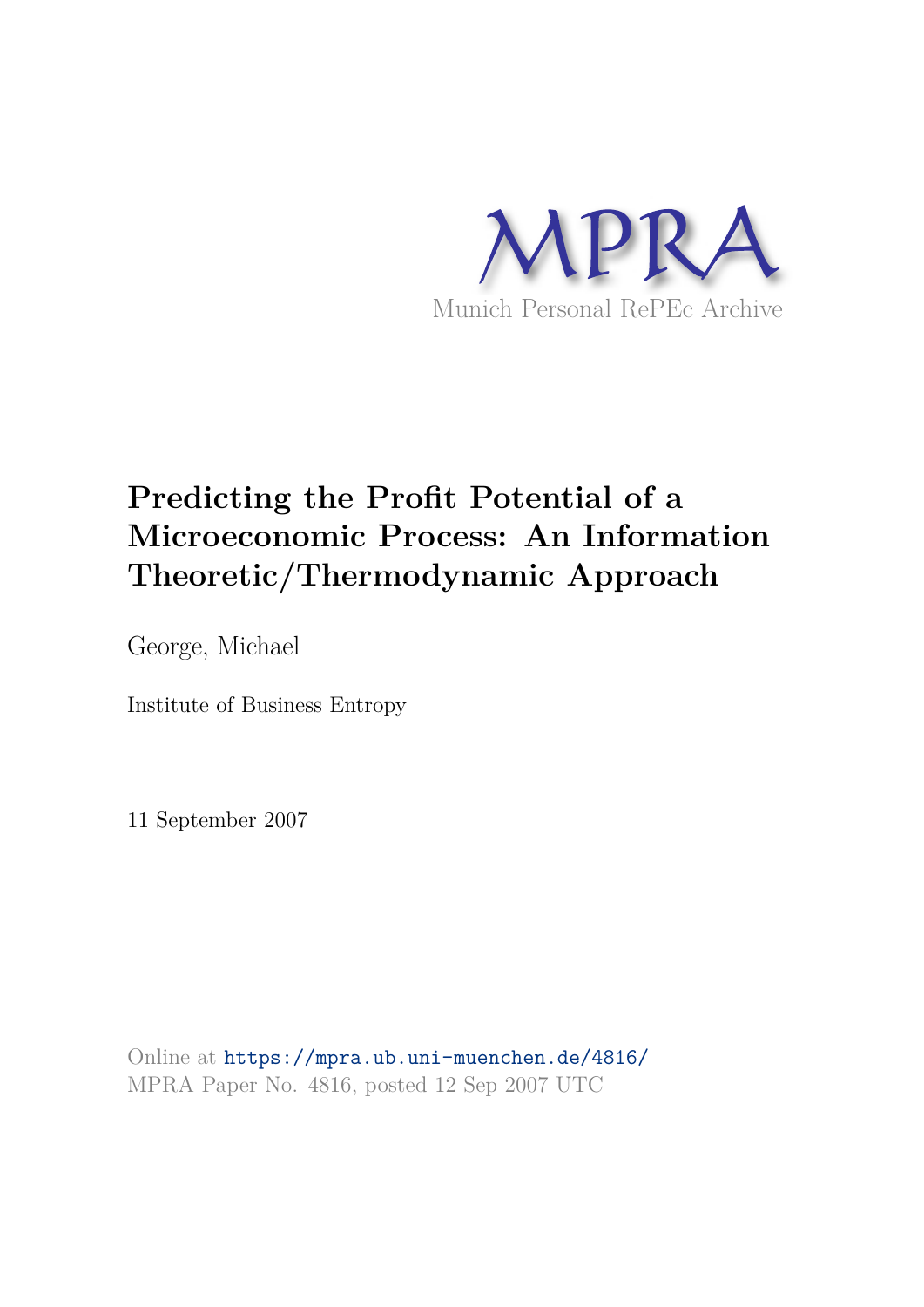

# **Predicting the Profit Potential of a Microeconomic Process: An Information Theoretic/Thermodynamic Approach**

George, Michael

Institute of Business Entropy

11 September 2007

Online at https://mpra.ub.uni-muenchen.de/4816/ MPRA Paper No. 4816, posted 12 Sep 2007 UTC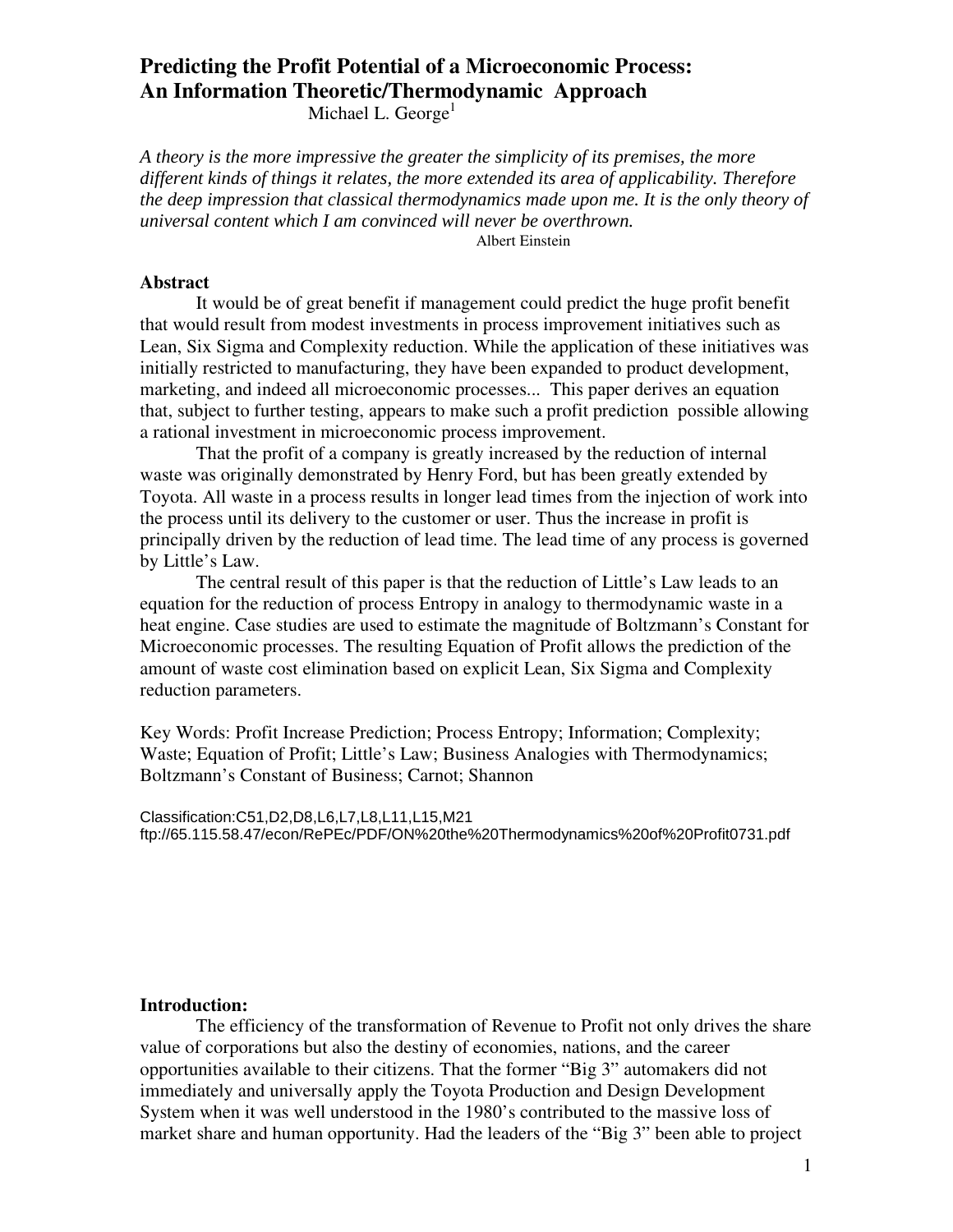# **Predicting the Profit Potential of a Microeconomic Process: An Information Theoretic/Thermodynamic Approach**

Michael L. George<sup>1</sup>

*A theory is the more impressive the greater the simplicity of its premises, the more different kinds of things it relates, the more extended its area of applicability. Therefore the deep impression that classical thermodynamics made upon me. It is the only theory of universal content which I am convinced will never be overthrown.* 

Albert Einstein

#### **Abstract**

It would be of great benefit if management could predict the huge profit benefit that would result from modest investments in process improvement initiatives such as Lean, Six Sigma and Complexity reduction. While the application of these initiatives was initially restricted to manufacturing, they have been expanded to product development, marketing, and indeed all microeconomic processes... This paper derives an equation that, subject to further testing, appears to make such a profit prediction possible allowing a rational investment in microeconomic process improvement.

That the profit of a company is greatly increased by the reduction of internal waste was originally demonstrated by Henry Ford, but has been greatly extended by Toyota. All waste in a process results in longer lead times from the injection of work into the process until its delivery to the customer or user. Thus the increase in profit is principally driven by the reduction of lead time. The lead time of any process is governed by Little's Law.

The central result of this paper is that the reduction of Little's Law leads to an equation for the reduction of process Entropy in analogy to thermodynamic waste in a heat engine. Case studies are used to estimate the magnitude of Boltzmann's Constant for Microeconomic processes. The resulting Equation of Profit allows the prediction of the amount of waste cost elimination based on explicit Lean, Six Sigma and Complexity reduction parameters.

Key Words: Profit Increase Prediction; Process Entropy; Information; Complexity; Waste; Equation of Profit; Little's Law; Business Analogies with Thermodynamics; Boltzmann's Constant of Business; Carnot; Shannon

Classification:C51,D2,D8,L6,L7,L8,L11,L15,M21 ftp://65.115.58.47/econ/RePEc/PDF/ON%20the%20Thermodynamics%20of%20Profit0731.pdf

#### **Introduction:**

The efficiency of the transformation of Revenue to Profit not only drives the share value of corporations but also the destiny of economies, nations, and the career opportunities available to their citizens. That the former "Big 3" automakers did not immediately and universally apply the Toyota Production and Design Development System when it was well understood in the 1980's contributed to the massive loss of market share and human opportunity. Had the leaders of the "Big 3" been able to project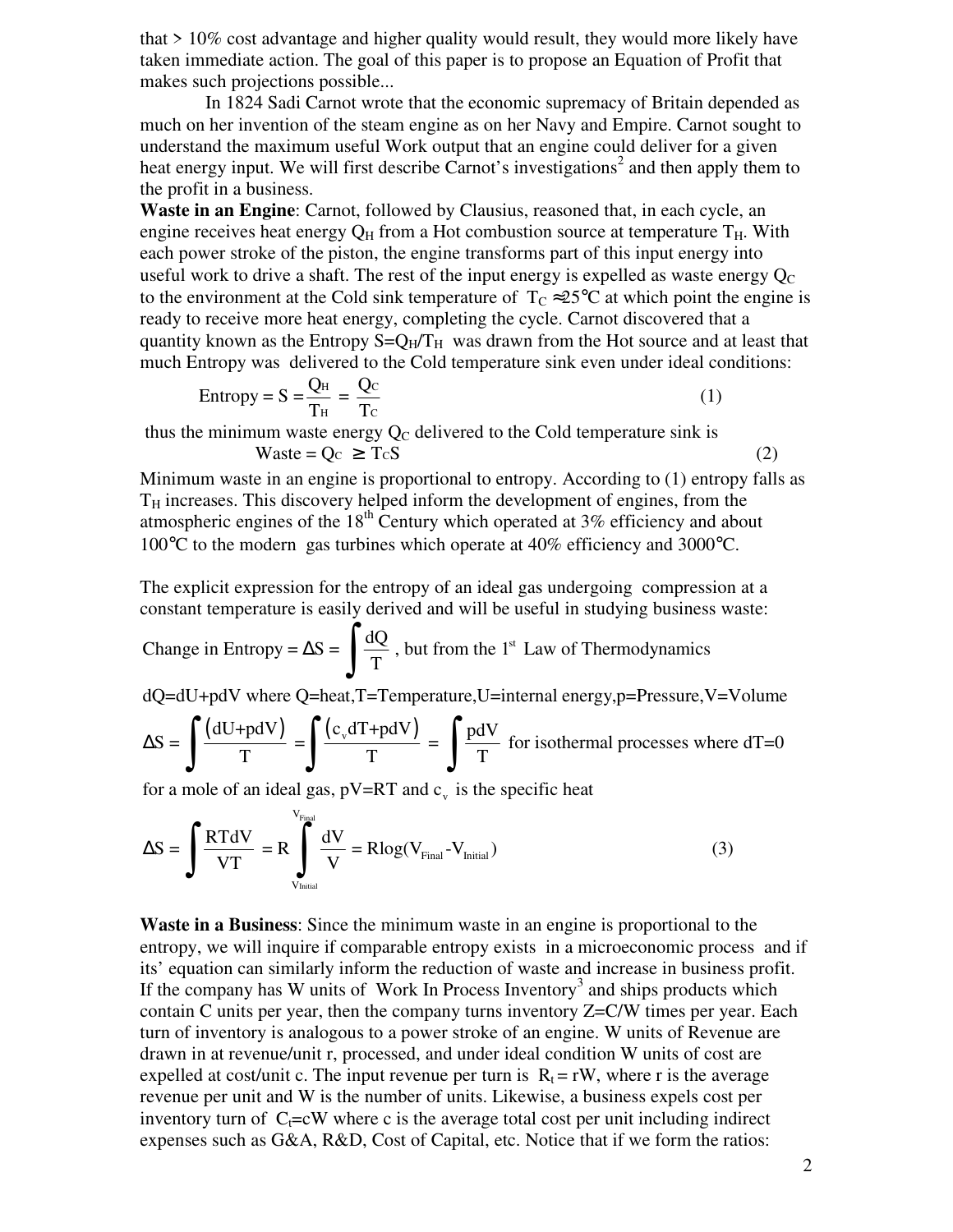that > 10% cost advantage and higher quality would result, they would more likely have taken immediate action. The goal of this paper is to propose an Equation of Profit that makes such projections possible...

 In 1824 Sadi Carnot wrote that the economic supremacy of Britain depended as much on her invention of the steam engine as on her Navy and Empire. Carnot sought to understand the maximum useful Work output that an engine could deliver for a given heat energy input. We will first describe Carnot's investigations<sup>2</sup> and then apply them to the profit in a business.

**Waste in an Engine:** Carnot, followed by Clausius, reasoned that, in each cycle, an engine receives heat energy  $Q_H$  from a Hot combustion source at temperature  $T_H$ . With each power stroke of the piston, the engine transforms part of this input energy into useful work to drive a shaft. The rest of the input energy is expelled as waste energy  $Q_C$ to the environment at the Cold sink temperature of  $T_c \approx 25^{\circ}$ C at which point the engine is ready to receive more heat energy, completing the cycle. Carnot discovered that a quantity known as the Entropy  $S = Q_H/T_H$  was drawn from the Hot source and at least that much Entropy was delivered to the Cold temperature sink even under ideal conditions:

Entropy = 
$$
S = \frac{Q_H}{T_H} = \frac{Q_C}{T_C}
$$
 (1)

thus the minimum waste energy  $Q_C$  delivered to the Cold temperature sink is Waste =  $Q_c \ge T_c S$  (2)

Minimum waste in an engine is proportional to entropy. According to (1) entropy falls as  $T_H$  increases. This discovery helped inform the development of engines, from the atmospheric engines of the  $18<sup>th</sup>$  Century which operated at 3% efficiency and about 100°C to the modern gas turbines which operate at 40% efficiency and 3000°C.

The explicit expression for the entropy of an ideal gas undergoing compression at a constant temperature is easily derived and will be useful in studying business waste:

Change in Entropy = 
$$
\Delta S = \int \frac{dQ}{T}
$$
, but from the 1<sup>st</sup> Law of Thermodynamics

dQ=dU+pdV where Q=heat,T=Temperature,U=internal energy,p=Pressure,V=Volume

$$
\Delta S = \int \frac{(dU + pdV)}{T} = \int \frac{(c_v dT + pdV)}{T} = \int \frac{pdV}{T}
$$
 for isothermal processes where dT=0

for a mole of an ideal gas,  $pV=RT$  and  $c_v$  is the specific heat

$$
\Delta S = \int \frac{RTdV}{VT} = R \int_{V_{initial}}^{V_{Final}} \frac{dV}{V} = R \log(V_{Final} - V_{Initial})
$$
 (3)

**Waste in a Business**: Since the minimum waste in an engine is proportional to the entropy, we will inquire if comparable entropy exists in a microeconomic process and if its' equation can similarly inform the reduction of waste and increase in business profit. If the company has W units of Work In Process Inventory<sup>3</sup> and ships products which contain C units per year, then the company turns inventory Z=C/W times per year. Each turn of inventory is analogous to a power stroke of an engine. W units of Revenue are drawn in at revenue/unit r, processed, and under ideal condition W units of cost are expelled at cost/unit c. The input revenue per turn is  $R_t = rW$ , where r is the average revenue per unit and W is the number of units. Likewise, a business expels cost per inventory turn of  $C<sub>i</sub>=cW$  where c is the average total cost per unit including indirect expenses such as G&A, R&D, Cost of Capital, etc. Notice that if we form the ratios: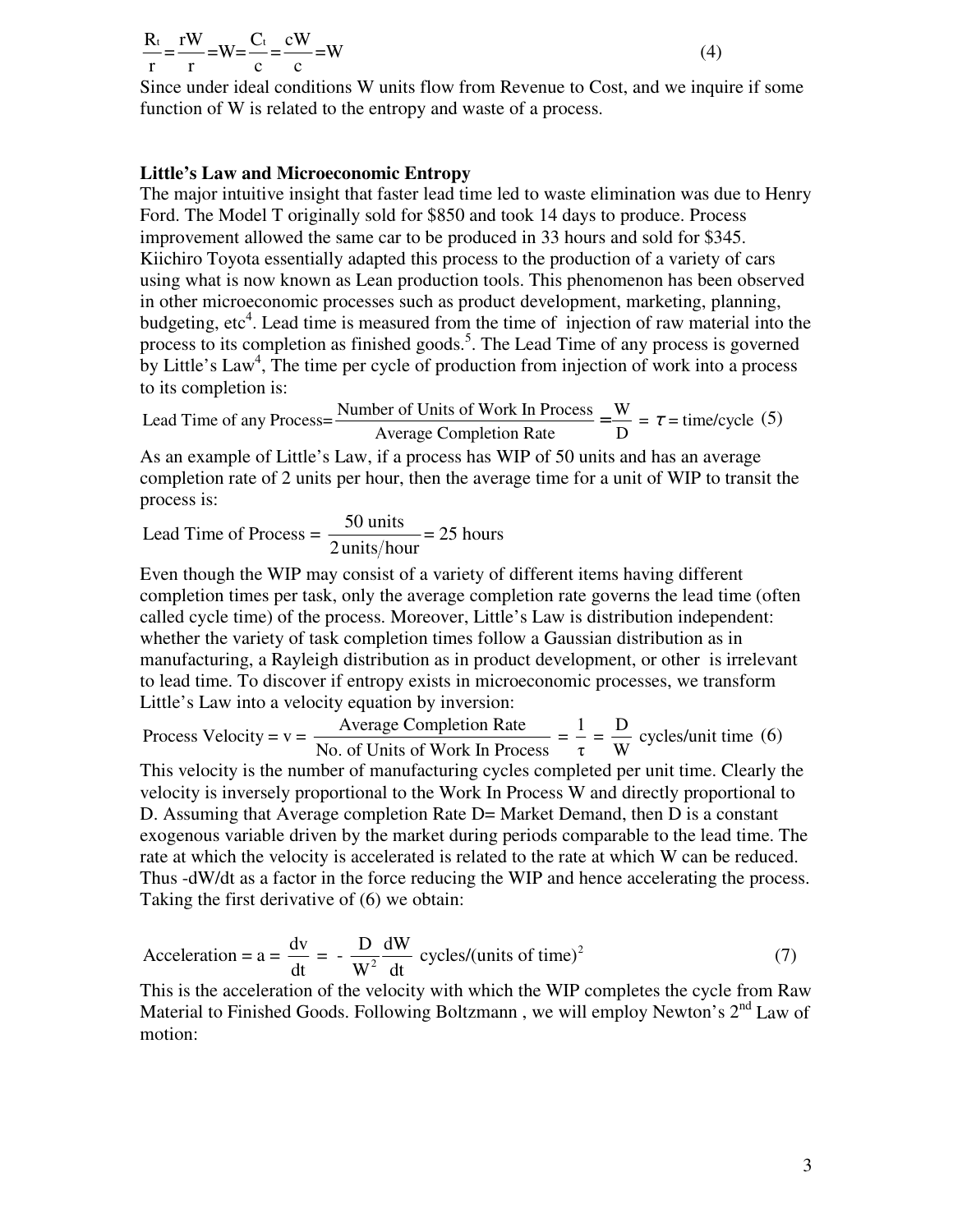## $\frac{R_t}{T} = \frac{rW}{W} = W = \frac{C_t}{T} = \frac{cW}{W} = W$ r r c c

Since under ideal conditions W units flow from Revenue to Cost, and we inquire if some function of W is related to the entropy and waste of a process.

(4)

### **Little's Law and Microeconomic Entropy**

The major intuitive insight that faster lead time led to waste elimination was due to Henry Ford. The Model T originally sold for \$850 and took 14 days to produce. Process improvement allowed the same car to be produced in 33 hours and sold for \$345. Kiichiro Toyota essentially adapted this process to the production of a variety of cars using what is now known as Lean production tools. This phenomenon has been observed in other microeconomic processes such as product development, marketing, planning, budgeting, etc<sup>4</sup>. Lead time is measured from the time of injection of raw material into the process to its completion as finished goods.<sup>5</sup>. The Lead Time of any process is governed by Little's Law<sup>4</sup>, The time per cycle of production from injection of work into a process to its completion is:

$$
Head Time of any Process = \frac{Number of Units of Work In Process}{Average Completion Rate} = \frac{W}{D} = \tau = time/cycle (5)
$$

As an example of Little's Law, if a process has WIP of 50 units and has an average completion rate of 2 units per hour, then the average time for a unit of WIP to transit the process is:

$$
Lead Time of Process = \frac{50 \text{ units}}{2 \text{units/hour}} = 25 \text{ hours}
$$

Even though the WIP may consist of a variety of different items having different completion times per task, only the average completion rate governs the lead time (often called cycle time) of the process. Moreover, Little's Law is distribution independent: whether the variety of task completion times follow a Gaussian distribution as in manufacturing, a Rayleigh distribution as in product development, or other is irrelevant to lead time. To discover if entropy exists in microeconomic processes, we transform Little's Law into a velocity equation by inversion:

Process Velocity = v =  $\frac{\text{Average completion Rate}}{\text{N}} = \frac{1}{\text{N}} = \frac{D}{\text{N}}$  cycles/unit time No. of Units of Work In Process  $=$   $\frac{1}{\tau}$  =  $\frac{B}{W}$  cycles/unit time (6)<br>No. of Units of Work In Process

This velocity is the number of manufacturing cycles completed per unit time. Clearly the velocity is inversely proportional to the Work In Process W and directly proportional to D. Assuming that Average completion Rate D= Market Demand, then D is a constant exogenous variable driven by the market during periods comparable to the lead time. The rate at which the velocity is accelerated is related to the rate at which W can be reduced. Thus -dW/dt as a factor in the force reducing the WIP and hence accelerating the process. Taking the first derivative of (6) we obtain:

Acceleration = 
$$
a = \frac{dv}{dt} = -\frac{D}{W^2} \frac{dW}{dt}
$$
 cycles/(units of time)<sup>2</sup> (7)

This is the acceleration of the velocity with which the WIP completes the cycle from Raw Material to Finished Goods. Following Boltzmann, we will employ Newton's  $2<sup>nd</sup>$  Law of motion: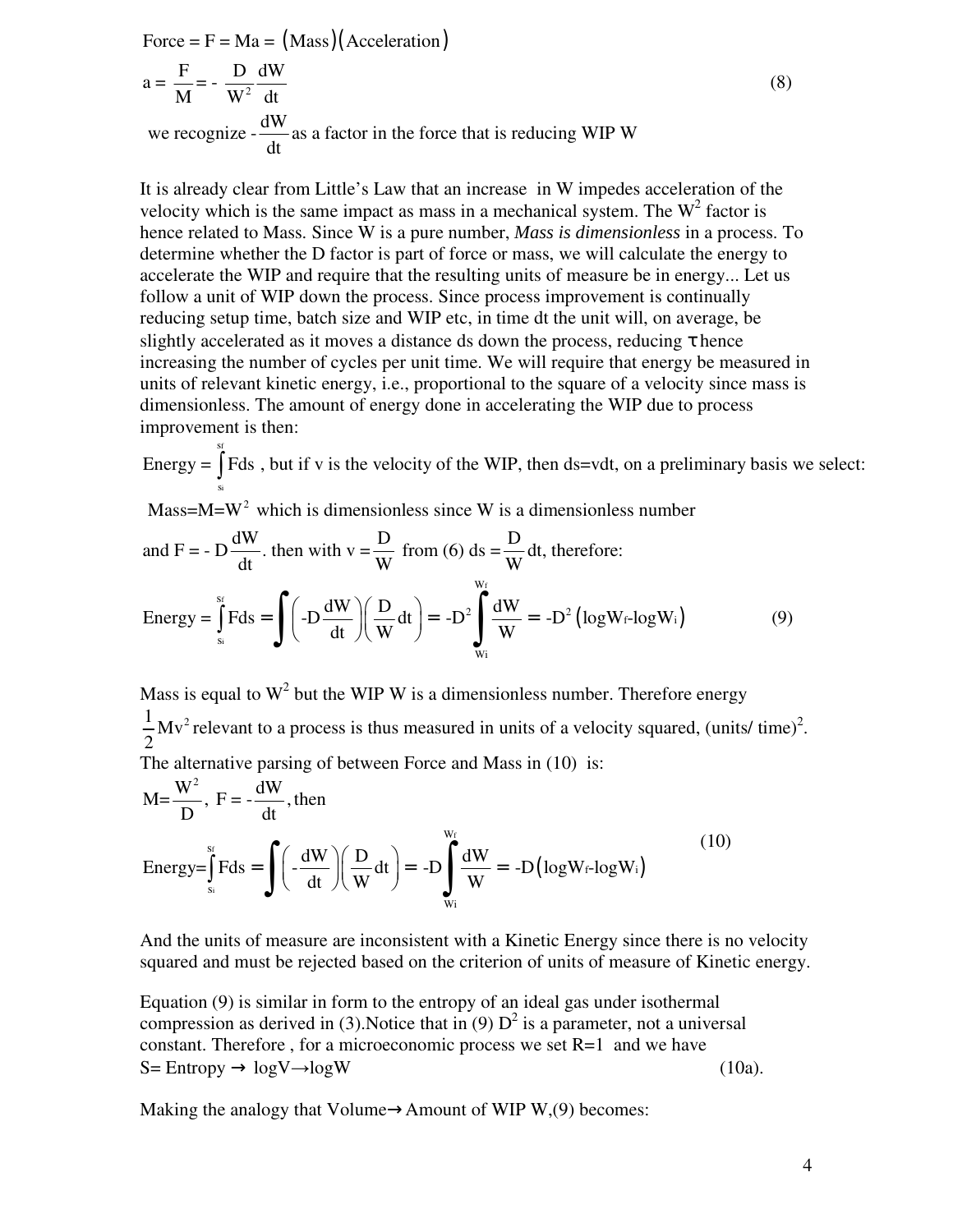Force =  $F = Ma = (Mass)(Acceleration)$ 2  $a = \frac{F}{M} = -\frac{D}{M} \frac{dW}{dM}$  $M$   $W^2$  dt we recognize  $-\frac{dW}{dx}$  as a factor in the force that is reducing WIP W dt (8)

It is already clear from Little's Law that an increase in W impedes acceleration of the velocity which is the same impact as mass in a mechanical system. The  $W^2$  factor is hence related to Mass. Since W is a pure number, *Mass is dimensionless* in a process. To determine whether the D factor is part of force or mass, we will calculate the energy to accelerate the WIP and require that the resulting units of measure be in energy... Let us follow a unit of WIP down the process. Since process improvement is continually reducing setup time, batch size and WIP etc, in time dt the unit will, on average, be slightly accelerated as it moves a distance ds down the process, reducing  $\tau$  hence increasing the number of cycles per unit time. We will require that energy be measured in units of relevant kinetic energy, i.e., proportional to the square of a velocity since mass is dimensionless. The amount of energy done in accelerating the WIP due to process improvement is then:

f i s s Energy =  $\int$  Fds, but if v is the velocity of the WIP, then ds=vdt, on a preliminary basis we select:

Mass= $M=W^2$  which is dimensionless since W is a dimensionless number

and F = -D
$$
\frac{dW}{dt}
$$
, then with v =  $\frac{D}{W}$  from (6) ds =  $\frac{D}{W}$  dt, therefore:  
\nEnergy =  $\int_{s_i}^{s_f} Fds = \int (-D\frac{dW}{dt})(\frac{D}{W}dt) = -D^2 \int_{w_i}^{w_f} \frac{dW}{W} = -D^2 (logW_f-logW_i)$  (9)

Mass is equal to  $W^2$  but the WIP W is a dimensionless number. Therefore energy  $\frac{1}{2}Mv^2$ 2 relevant to a process is thus measured in units of a velocity squared, (units/ $time$ )<sup>2</sup>. The alternative parsing of between Force and Mass in  $(10)$  is:

$$
M = \frac{W^2}{D}, F = -\frac{dW}{dt}, then
$$
  
Energy=
$$
\int_{s_i}^{s_f} Fds = \int_{s_i} \left( -\frac{dW}{dt} \right) \left( \frac{D}{W} dt \right) = -D \int_{w_i}^{w_f} \frac{dW}{W} = -D \left( \log W_f - \log W_i \right)
$$
 (10)

And the units of measure are inconsistent with a Kinetic Energy since there is no velocity squared and must be rejected based on the criterion of units of measure of Kinetic energy.

Equation (9) is similar in form to the entropy of an ideal gas under isothermal compression as derived in (3). Notice that in (9)  $D^2$  is a parameter, not a universal constant. Therefore, for a microeconomic process we set  $R=1$  and we have  $S= Entropy \rightarrow logV \rightarrow logW$  (10a).

Making the analogy that Volume $\rightarrow$ Amount of WIP W,(9) becomes: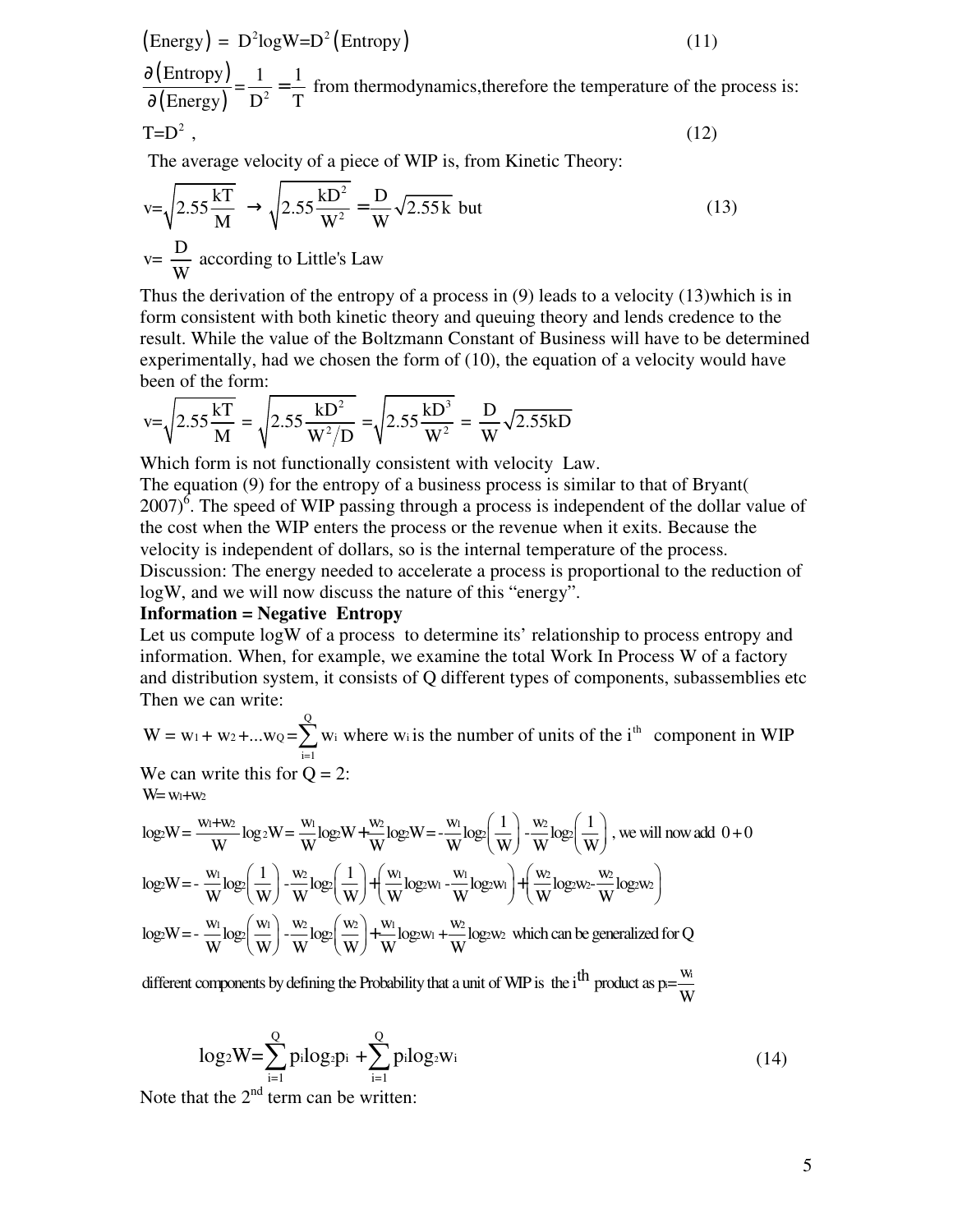$$
(\text{Energy}) = D^2 \log W = D^2 (\text{Entropy}) \tag{11}
$$

(Entropy)  $\frac{(\text{Entropy})}{(\text{Energy})} = \frac{1}{D^2} = \frac{1}{T}$  from thermodynamics, therefore the temperature of the process is:  $T=D^2$ , Energy)  $D^2$  T ∂ = ∂ (12)

The average velocity of a piece of WIP is, from Kinetic Theory:

$$
v = \sqrt{2.55 \frac{kT}{M}} \rightarrow \sqrt{2.55 \frac{kD^2}{W^2}} = \frac{D}{W} \sqrt{2.55 k} \text{ but}
$$
  
\n
$$
v = \frac{D}{W} \text{ according to Little's Law}
$$
 (13)

Thus the derivation of the entropy of a process in (9) leads to a velocity (13)which is in form consistent with both kinetic theory and queuing theory and lends credence to the result. While the value of the Boltzmann Constant of Business will have to be determined experimentally, had we chosen the form of (10), the equation of a velocity would have been of the form:

$$
v = \sqrt{2.55 \frac{kT}{M}} = \sqrt{2.55 \frac{kD^2}{W^2/D}} = \sqrt{2.55 \frac{kD^3}{W^2}} = \frac{D}{W} \sqrt{2.55 kD}
$$

Which form is not functionally consistent with velocity Law.

The equation (9) for the entropy of a business process is similar to that of Bryant(  $2007$ <sup>6</sup>. The speed of WIP passing through a process is independent of the dollar value of the cost when the WIP enters the process or the revenue when it exits. Because the velocity is independent of dollars, so is the internal temperature of the process. Discussion: The energy needed to accelerate a process is proportional to the reduction of logW, and we will now discuss the nature of this "energy".

#### **Information = Negative Entropy**

Let us compute logW of a process to determine its' relationship to process entropy and information. When, for example, we examine the total Work In Process W of a factory and distribution system, it consists of Q different types of components, subassemblies etc Then we can write:

W = w<sub>1</sub> + w<sub>2</sub> + ...w<sub>Q</sub> = 
$$
\sum_{i=1}^{Q}
$$
 w<sub>i</sub> where w<sub>i</sub> is the number of units of the i<sup>th</sup> component in WIP  
We can write this for Q = 2:

 $W = w_1 + w_2$ 

$$
W=w_1+w_2
$$
  
\n
$$
log_2 W = \frac{w_1+w_2}{W}log_2 W = \frac{w_1}{W}log_2 W + \frac{w_2}{W}log_2 W = -\frac{w_1}{W}log_2 (\frac{1}{W}) - \frac{w_2}{W}log_2 (\frac{1}{W}),
$$
 we will now add  $0+0$   
\n
$$
log_2 W = -\frac{w_1}{W}log_2 (\frac{1}{W}) - \frac{w_2}{W}log_2 (\frac{1}{W}) + (\frac{w_1}{W}log_2 w_1 - \frac{w_1}{W}log_2 w_1) + (\frac{w_2}{W}log_2 w_2 - \frac{w_2}{W}log_2 w_2)
$$
  
\n
$$
log_2 W = -\frac{w_1}{W}log_2 (\frac{w_1}{W}) - \frac{w_2}{W}log_2 (\frac{w_2}{W}) + \frac{w_1}{W}log_2 w_1 + \frac{w_2}{W}log_2 w_2
$$
 which can be generalized for Q

different components by defining the Probability that a unit of WIP is the i<sup>th</sup> product as  $p=\frac{W_i}{W_i}$ W

$$
\log_2 W = \sum_{i=1}^{Q} p_i \log_2 p_i + \sum_{i=1}^{Q} p_i \log_2 w_i
$$
 (14)

Note that the  $2^{nd}$  term can be written: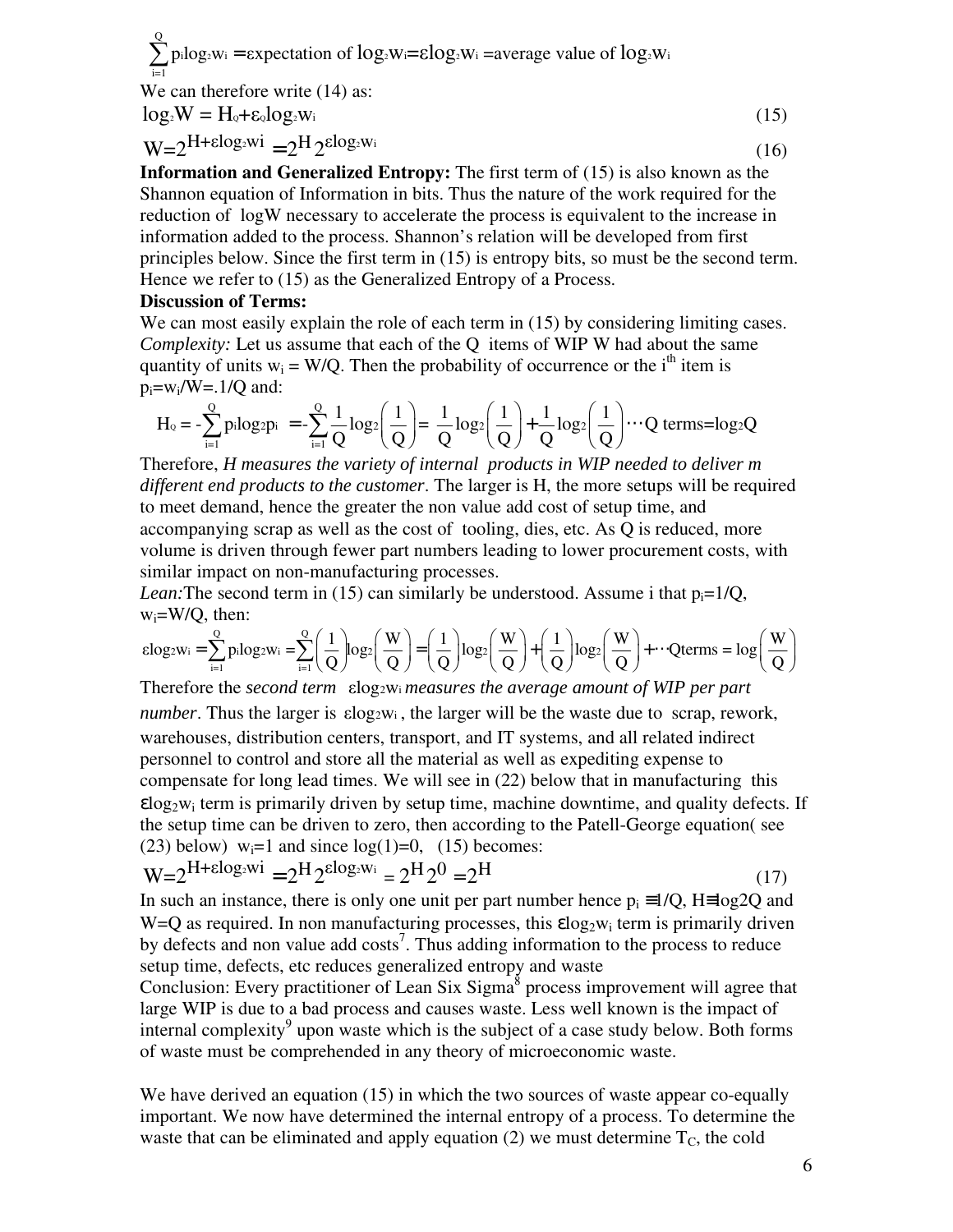$2w_1 - \epsilon \Delta p$  claim of  $10g_2 w_1 - \epsilon \log_2 w_1 - \epsilon \log_2 c$  value of  $10g_2$ Q  $\sum_{i=1}^{\infty}$  pilog<sub>2</sub>w<sub>i</sub> = expectation of log<sub>2</sub>W<sub>i</sub>= $\epsilon$ log<sub>2</sub>W<sub>i</sub> = average value of log<sub>2</sub>W<sub>i</sub> i=1

We can therefore write  $(14)$  as:  $log_2 W = H_0 + \varepsilon_0 log_2 W_i$  (15)

$$
W = 2^{H + \varepsilon \log_2 W i} = 2^H 2^{\varepsilon \log_2 W i}
$$
\n<sup>(16)</sup>

**Information and Generalized Entropy:** The first term of (15) is also known as the Shannon equation of Information in bits. Thus the nature of the work required for the reduction of logW necessary to accelerate the process is equivalent to the increase in information added to the process. Shannon's relation will be developed from first principles below. Since the first term in (15) is entropy bits, so must be the second term. Hence we refer to (15) as the Generalized Entropy of a Process.

#### **Discussion of Terms:**

We can most easily explain the role of each term in  $(15)$  by considering limiting cases. *Complexity:* Let us assume that each of the Q items of WIP W had about the same quantity of units  $w_i = W/Q$ . Then the probability of occurrence or the i<sup>th</sup> item is  $p_i = w_i/W = .1/Q$  and:

$$
H_0 = -\sum_{i=1}^{Q} p_i \log_2 p_i = -\sum_{i=1}^{Q} \frac{1}{Q} \log_2 \left(\frac{1}{Q}\right) = \frac{1}{Q} \log_2 \left(\frac{1}{Q}\right) + \frac{1}{Q} \log_2 \left(\frac{1}{Q}\right) \cdots Q \text{ terms}= \log_2 Q
$$

Therefore, *H measures the variety of internal products in WIP needed to deliver m different end products to the customer*. The larger is H, the more setups will be required to meet demand, hence the greater the non value add cost of setup time, and accompanying scrap as well as the cost of tooling, dies, etc. As Q is reduced, more volume is driven through fewer part numbers leading to lower procurement costs, with similar impact on non-manufacturing processes.

*Lean:* The second term in (15) can similarly be understood. Assume i that  $p_i=1/Q$ ,  $w_i = W/Q$ , then:

$$
\epsilon log_2 w_i = \sum_{i=1}^Q {p_i log_2 w_i} = \sum_{i=1}^Q {\left(\frac{1}{Q}\right)} log_2 {\left(\frac{W}{Q}\right)} = \left(\frac{1}{Q}\right) log_2 {\left(\frac{W}{Q}\right)} + \left(\frac{1}{Q}\right) log_2 {\left(\frac{W}{Q}\right)} + \cdots Qterms = log{\left(\frac{W}{Q}\right)}
$$

Therefore the *second term* **elogion** *elementing the average amount of WIP per part number*. Thus the larger is  $\epsilon \log_2 w_i$ , the larger will be the waste due to scrap, rework, warehouses, distribution centers, transport, and IT systems, and all related indirect personnel to control and store all the material as well as expediting expense to compensate for long lead times. We will see in (22) below that in manufacturing this  $\epsilon$ log<sub>2</sub>w<sub>i</sub> term is primarily driven by setup time, machine downtime, and quality defects. If the setup time can be driven to zero, then according to the Patell-George equation( see (23) below)  $w_i=1$  and since  $log(1)=0$ , (15) becomes:

$$
W = 2^{H + \epsilon \log_2 W i} = 2^H 2^{\epsilon \log_2 W i} = 2^H 2^0 = 2^H
$$
\n(17)

In such an instance, there is only one unit per part number hence  $p_i = 1/Q$ , H=log2Q and  $W=Q$  as required. In non manufacturing processes, this  $\epsilon log_2 w_i$  term is primarily driven by defects and non value add costs<sup>7</sup>. Thus adding information to the process to reduce setup time, defects, etc reduces generalized entropy and waste

Conclusion: Every practitioner of Lean Six Sigma<sup>8</sup> process improvement will agree that large WIP is due to a bad process and causes waste. Less well known is the impact of internal complexity<sup>9</sup> upon waste which is the subject of a case study below. Both forms of waste must be comprehended in any theory of microeconomic waste.

We have derived an equation (15) in which the two sources of waste appear co-equally important. We now have determined the internal entropy of a process. To determine the waste that can be eliminated and apply equation (2) we must determine  $T_c$ , the cold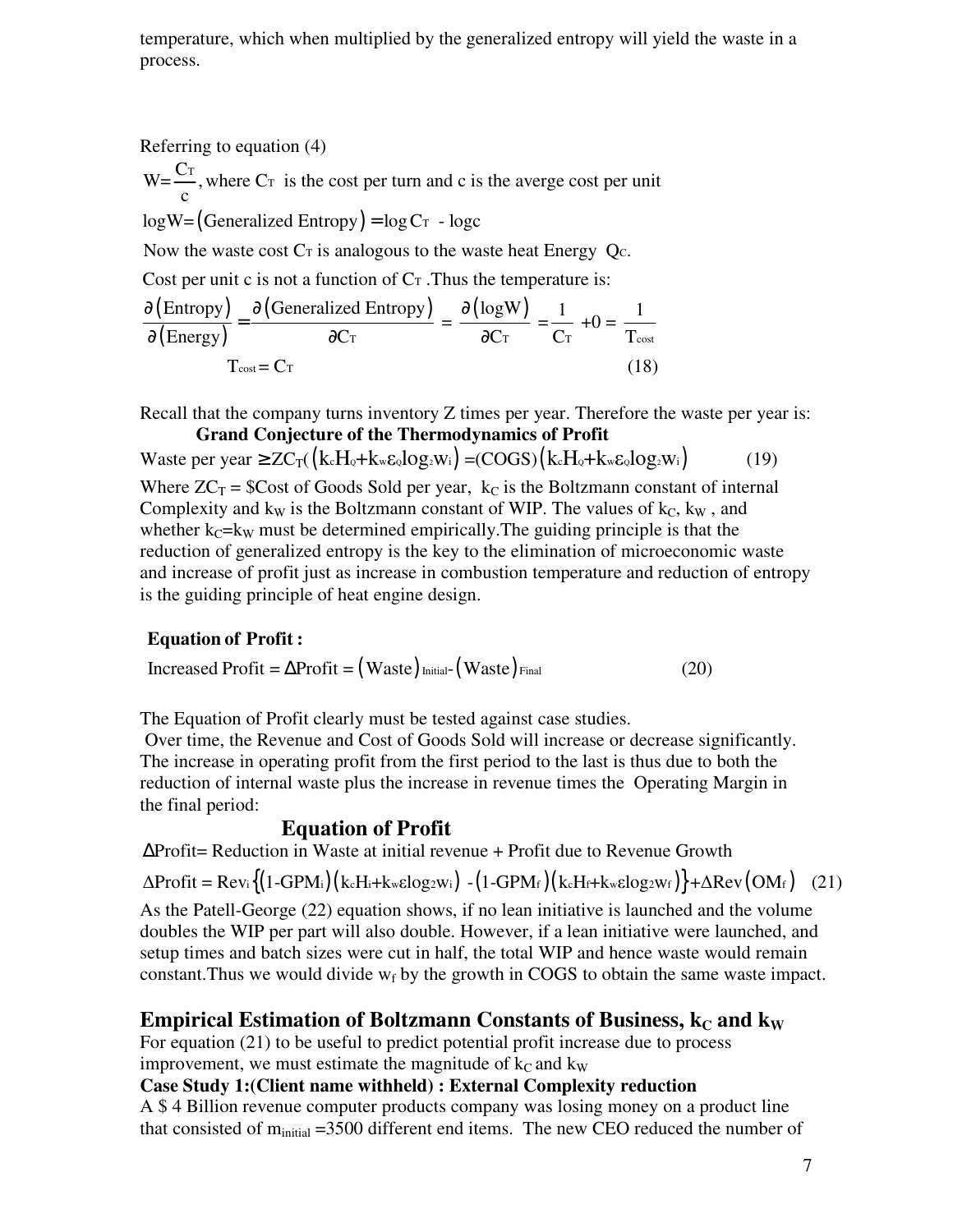temperature, which when multiplied by the generalized entropy will yield the waste in a process.

Referring to equation (4)

 $W = \frac{C_T}{C}$ , where  $C_T$  is the cost per turn and c is the averge cost per unit c

 $log W = (Generalized Entropy) = log C<sub>T</sub> - log c$ 

Now the waste cost  $Cr$  is analogous to the waste heat Energy  $Qc$ .

Cost per unit c is not a function of  $C_T$ . Thus the temperature is:

$$
\frac{\partial \left( \text{Entropy} \right)}{\partial \left( \text{Energy} \right)} = \frac{\partial \left( \text{Generalized Entropy} \right)}{\partial C_{\text{T}}} = \frac{\partial \left( \text{logW} \right)}{\partial C_{\text{T}}} = \frac{1}{C_{\text{T}}} + 0 = \frac{1}{T_{\text{cost}}}
$$
  
T<sub>cost</sub> = C<sub>T</sub> (18)

Recall that the company turns inventory Z times per year. Therefore the waste per year is: **Grand Conjecture of the Thermodynamics of Profit** 

Waste per year  $\geq ZC_T({k_cH_e+k_w\epsilon_olog_2w_i}) = (COGS)({k_cH_e+k_w\epsilon_olog_2w_i})$  (19) Where  $ZC_T$  = \$Cost of Goods Sold per year,  $k_C$  is the Boltzmann constant of internal Complexity and  $k_W$  is the Boltzmann constant of WIP. The values of  $k_C$ ,  $k_W$ , and whether  $k_C=k_W$  must be determined empirically. The guiding principle is that the reduction of generalized entropy is the key to the elimination of microeconomic waste and increase of profit just as increase in combustion temperature and reduction of entropy is the guiding principle of heat engine design.

## **Equation of Profit :**

 $\text{Increasing Profit} = \Delta \text{Profit} = (\text{Waste})_{\text{Initial}} (\text{Waste})_{\text{Final}}$  (20)

The Equation of Profit clearly must be tested against case studies.

 Over time, the Revenue and Cost of Goods Sold will increase or decrease significantly. The increase in operating profit from the first period to the last is thus due to both the reduction of internal waste plus the increase in revenue times the Operating Margin in the final period:

## **Equation of Profit**

∆Profit= Reduction in Waste at initial revenue + Profit due to Revenue Growth

 $\Delta$ Profit = Rev: $\{(1\text{-}GPM_i)(k_cH_i+k_w\epsilon log_2w_i) - (1\text{-}GPM_f)(k_cH_i+k_w\epsilon log_2w_f)\} + \Delta$ Rev $(OM_f)$  (21)

As the Patell-George (22) equation shows, if no lean initiative is launched and the volume doubles the WIP per part will also double. However, if a lean initiative were launched, and setup times and batch sizes were cut in half, the total WIP and hence waste would remain constant. Thus we would divide  $w_f$  by the growth in COGS to obtain the same waste impact.

## **Empirical Estimation of Boltzmann Constants of Business,**  $k<sub>C</sub>$  **and**  $k<sub>W</sub>$

For equation (21) to be useful to predict potential profit increase due to process improvement, we must estimate the magnitude of  $k<sub>C</sub>$  and k<sub>W</sub>

## **Case Study 1:(Client name withheld) : External Complexity reduction**

A \$ 4 Billion revenue computer products company was losing money on a product line that consisted of  $m<sub>initial</sub> = 3500$  different end items. The new CEO reduced the number of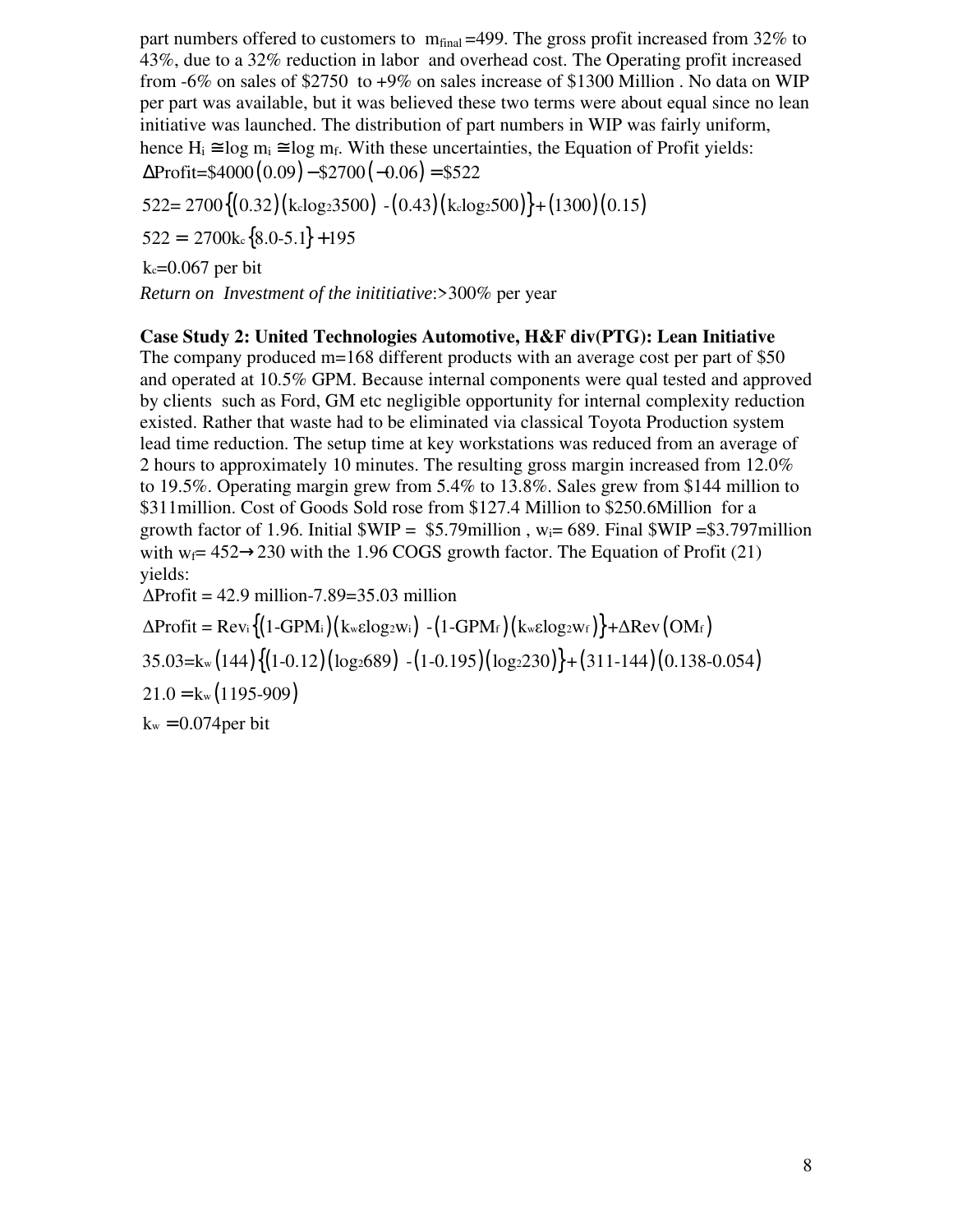part numbers offered to customers to  $m_{final} = 499$ . The gross profit increased from 32% to 43%, due to a 32% reduction in labor and overhead cost. The Operating profit increased from -6% on sales of \$2750 to +9% on sales increase of \$1300 Million . No data on WIP per part was available, but it was believed these two terms were about equal since no lean initiative was launched. The distribution of part numbers in WIP was fairly uniform, hence  $H_i \cong \log m_i \cong \log m_f$ . With these uncertainties, the Equation of Profit yields:  $\Delta \text{Profit} = $4000(0.09) - $2700(-0.06) = $522$ 

 ${522} = 2700{(0.32)(k \log 23500) - (0.43)(k \log 2500)} + (1300)(0.15)$ 

 $522 = 2700\text{k} \cdot \{8.0 - 5.1\} + 195$ 

k<sub>c</sub>=0.067 per bit

*Return on Investment of the inititiative*:>300% per year

### **Case Study 2: United Technologies Automotive, H&F div(PTG): Lean Initiative**

The company produced m=168 different products with an average cost per part of \$50 and operated at 10.5% GPM. Because internal components were qual tested and approved by clients such as Ford, GM etc negligible opportunity for internal complexity reduction existed. Rather that waste had to be eliminated via classical Toyota Production system lead time reduction. The setup time at key workstations was reduced from an average of 2 hours to approximately 10 minutes. The resulting gross margin increased from 12.0% to 19.5%. Operating margin grew from 5.4% to 13.8%. Sales grew from \$144 million to \$311million. Cost of Goods Sold rose from \$127.4 Million to \$250.6Million for a growth factor of 1.96. Initial  $WIP = $5.79$ million, w<sub>i</sub>= 689. Final  $WIP = $3.797$ million with  $w_f$  = 452  $\rightarrow$  230 with the 1.96 COGS growth factor. The Equation of Profit (21) yields:

 $\Delta$ Profit = 42.9 million-7.89=35.03 million

 $\Delta$ Profit = Rev: $\{(1\text{-}GPM_i)(k$ w $\epsilon$ log2Wi)  $-(1\text{-}GPM_f)(k$ w $\epsilon$ log2Wf $)\}+\Delta$ Rev $(OM_f)$ 

 $35.03 = k_{\rm w} (144) \{ (1-0.12) (\log_2 689) - (1-0.195) (\log_2 230) \} + (311-144) (0.138-0.054)$ 

 $21.0 = k_{w} (1195-909)$ 

 $k_w = 0.074$  per bit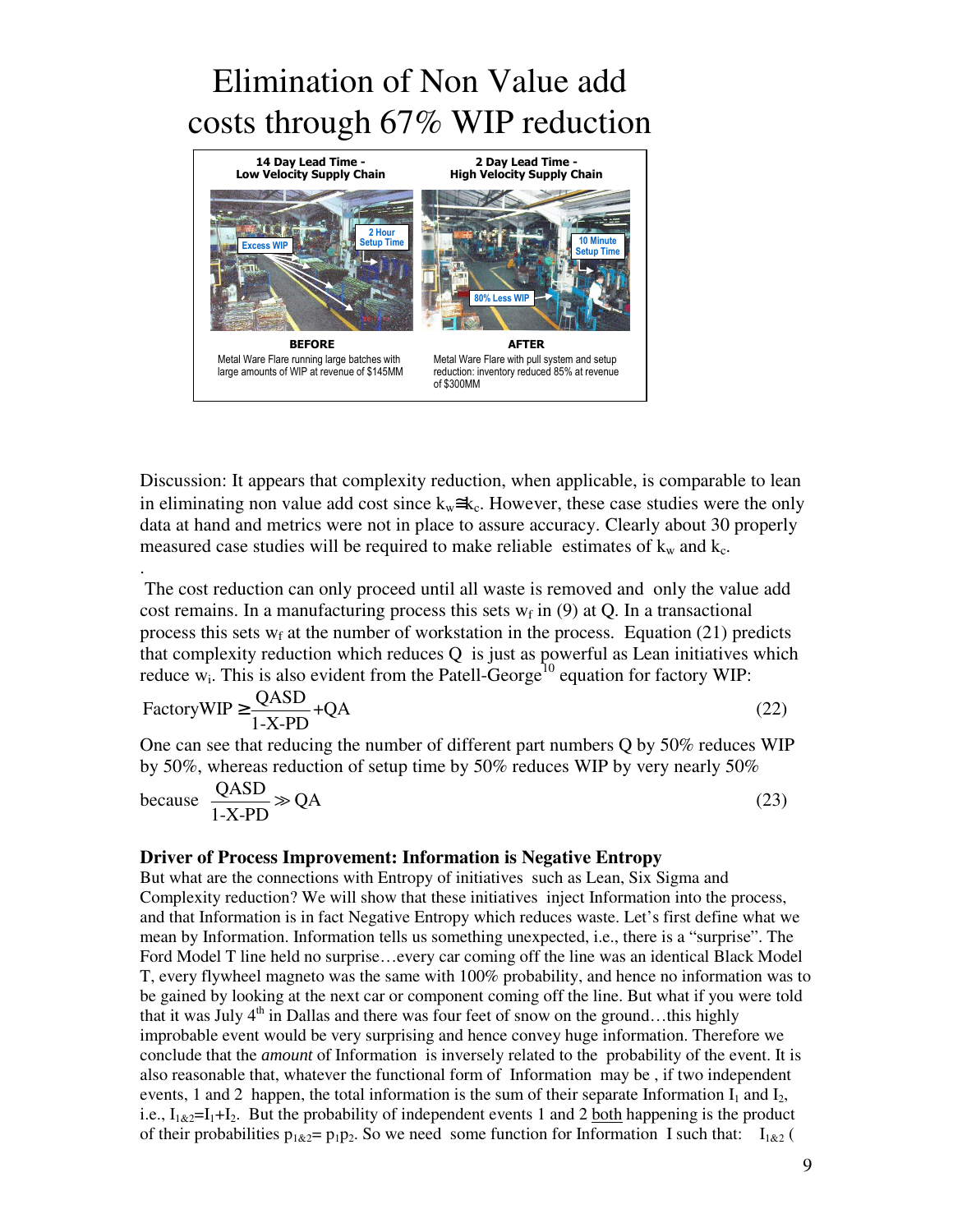# Elimination of Non Value add costs through 67% WIP reduction



Discussion: It appears that complexity reduction, when applicable, is comparable to lean in eliminating non value add cost since  $k_w \cong k_c$ . However, these case studies were the only data at hand and metrics were not in place to assure accuracy. Clearly about 30 properly measured case studies will be required to make reliable estimates of  $k_w$  and  $k_c$ .

 The cost reduction can only proceed until all waste is removed and only the value add cost remains. In a manufacturing process this sets  $w_f$  in (9) at Q. In a transactional process this sets  $w_f$  at the number of workstation in the process. Equation (21) predicts that complexity reduction which reduces Q is just as powerful as Lean initiatives which reduce  $w_i$ . This is also evident from the Patell-George<sup>10</sup> equation for factory WIP:

$$
FactoryWIP \ge \frac{QASD}{1-X-PD} + QA \tag{22}
$$

One can see that reducing the number of different part numbers Q by 50% reduces WIP by 50%, whereas reduction of setup time by 50% reduces WIP by very nearly 50%

because 
$$
\frac{QASD}{1-X-PD} \gg QA
$$
 (23)

#### **Driver of Process Improvement: Information is Negative Entropy**

.

But what are the connections with Entropy of initiatives such as Lean, Six Sigma and Complexity reduction? We will show that these initiatives inject Information into the process, and that Information is in fact Negative Entropy which reduces waste. Let's first define what we mean by Information. Information tells us something unexpected, i.e., there is a "surprise". The Ford Model T line held no surprise...every car coming off the line was an identical Black Model T, every flywheel magneto was the same with 100% probability, and hence no information was to be gained by looking at the next car or component coming off the line. But what if you were told that it was July  $4<sup>th</sup>$  in Dallas and there was four feet of snow on the ground...this highly improbable event would be very surprising and hence convey huge information. Therefore we conclude that the *amount* of Information is inversely related to the probability of the event. It is also reasonable that, whatever the functional form of Information may be , if two independent events, 1 and 2 happen, the total information is the sum of their separate Information  $I_1$  and  $I_2$ , i.e.,  $I_{1\&2} = I_1 + I_2$ . But the probability of independent events 1 and 2 both happening is the product of their probabilities  $p_1_{\&2} = p_1 p_2$ . So we need some function for Information I such that:  $I_{1\&2}$  (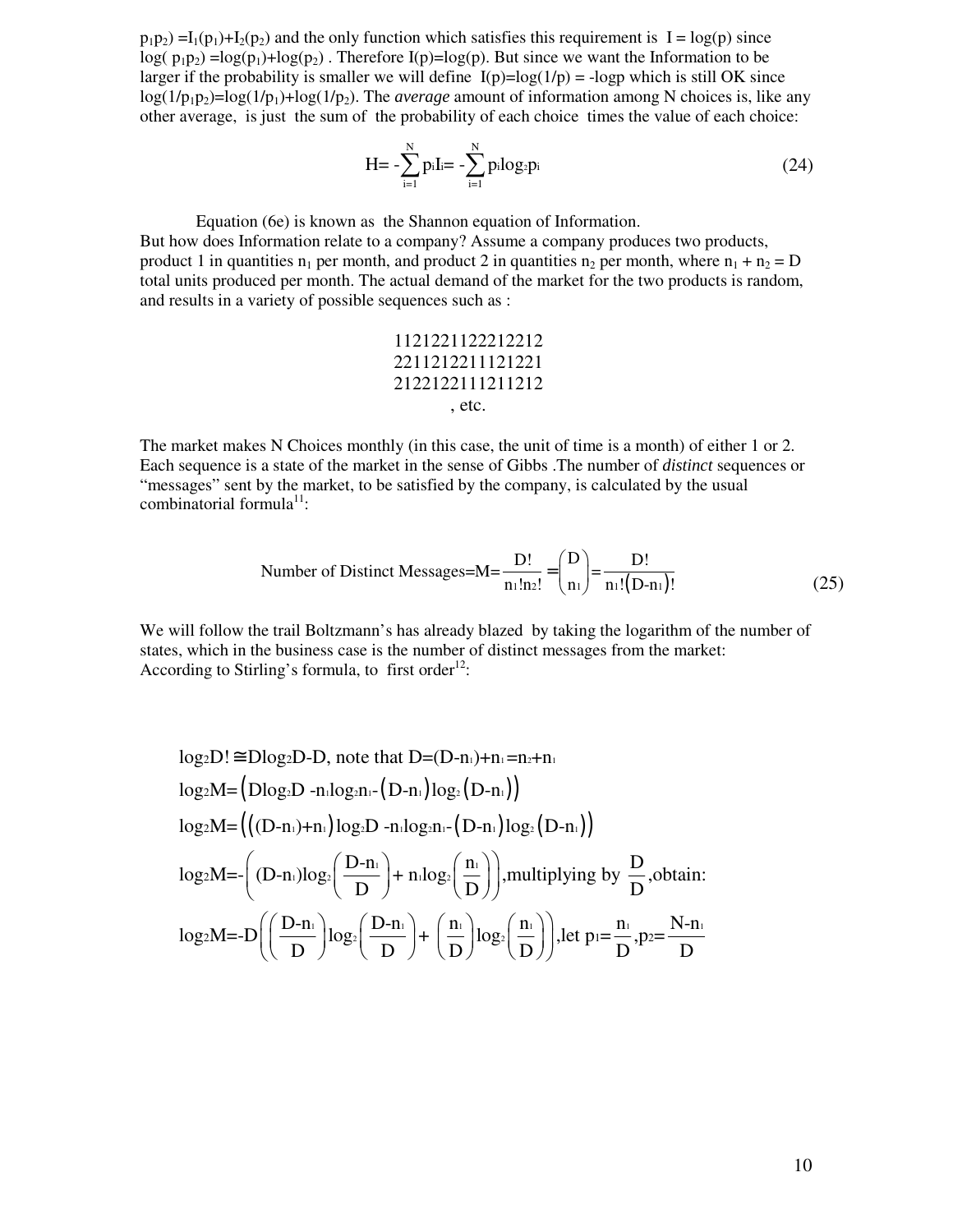$p_1p_2$ ) =I<sub>1</sub>( $p_1$ )+I<sub>2</sub>( $p_2$ ) and the only function which satisfies this requirement is I = log(p) since  $log(p_1p_2) = log(p_1)+log(p_2)$ . Therefore  $I(p)=log(p)$ . But since we want the Information to be larger if the probability is smaller we will define  $I(p)=log(1/p)$  = -logp which is still OK since  $log(1/p_1p_2)=log(1/p_1)+log(1/p_2)$ . The *average* amount of information among N choices is, like any other average, is just the sum of the probability of each choice times the value of each choice:

$$
H = -\sum_{i=1}^{N} p_i I_i = -\sum_{i=1}^{N} p_i \log_2 p_i
$$
 (24)

Equation (6e) is known as the Shannon equation of Information.

But how does Information relate to a company? Assume a company produces two products, product 1 in quantities  $n_1$  per month, and product 2 in quantities  $n_2$  per month, where  $n_1 + n_2 = D$ total units produced per month. The actual demand of the market for the two products is random, and results in a variety of possible sequences such as :

$$
\begin{array}{c} 1121221122212212 \\ 2211212211121221 \\ 2122122111211212 \\ \phantom{1111} ,\, \phantom{11111} ,\, \phantom{1111111} ,\, \phantom{11111111} ,\, \phantom{11111111111111} \end{array}
$$

The market makes N Choices monthly (in this case, the unit of time is a month) of either 1 or 2. Each sequence is a state of the market in the sense of Gibbs .The number of *distinct* sequences or "messages" sent by the market, to be satisfied by the company, is calculated by the usual combinatorial formula<sup>11</sup>:

Number of Distinct Messages=M=
$$
\frac{D!}{n_1!n_2!}
$$
= $\binom{D}{n_1}$ = $\frac{D!}{n_1!(D-n_1)!}$  (25)

We will follow the trail Boltzmann's has already blazed by taking the logarithm of the number of states, which in the business case is the number of distinct messages from the market: According to Stirling's formula, to first order<sup>12</sup>:

$$
log_2D! \cong Dlog_2D - D, \text{ note that } D = (D-n_1) + n_1 = n_2 + n_1
$$
  
\n
$$
log_2M = (Dlog_2D - n_1log_2n_1 - (D-n_1)log_2(D-n_1))
$$
  
\n
$$
log_2M = (((D-n_1) + n_1)log_2D - n_1log_2n_1 - (D-n_1)log_2(D-n_1))
$$
  
\n
$$
log_2M = -((D-n_1)log_2(\frac{D-n_1}{D}) + n_1log_2(\frac{n_1}{D}))
$$
, multiplying by  $\frac{D}{D}$ , obtain:  
\n
$$
log_2M = -D((\frac{D-n_1}{D})log_2(\frac{D-n_1}{D}) + (\frac{n_1}{D})log_2(\frac{n_1}{D}))
$$
, let  $p_1 = \frac{n_1}{D}$ ,  $p_2 = \frac{N-n_1}{D}$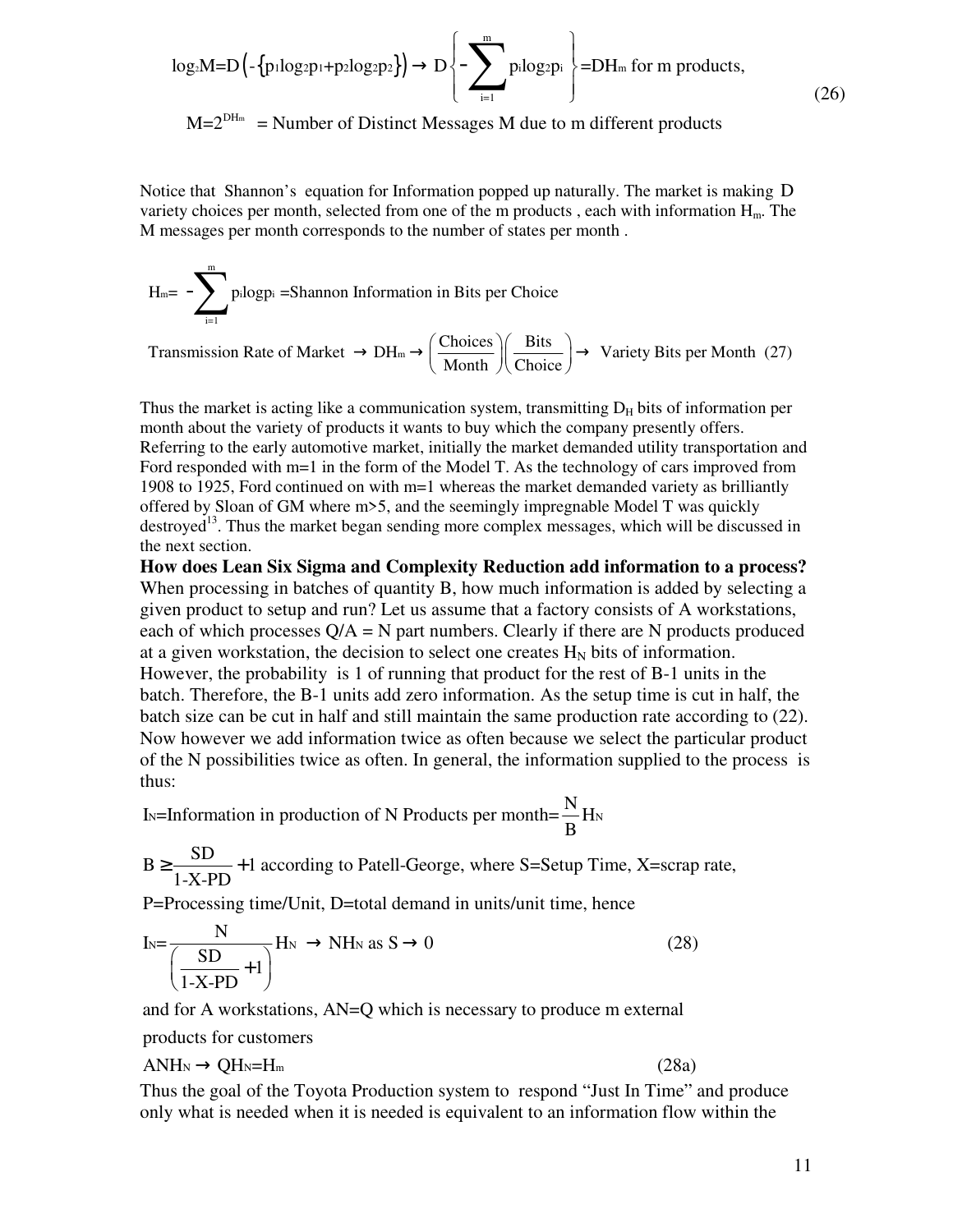$$
\log_{2}M = D\left(-\left\{\text{p} \cdot \log_{2}p_{1} + \text{p} \cdot \log_{2}p_{2}\right\}\right) \to D\left\{-\sum_{i=1}^{m} \text{p} \cdot \log_{2}p_{i}\right\} = DH_{m} \text{ for } m \text{ products,}
$$
\n(26)

 $M=2^{DH_m}$  = Number of Distinct Messages M due to m different products

Notice that Shannon's equation for Information popped up naturally. The market is making D variety choices per month, selected from one of the m products, each with information  $H_m$ . The M messages per month corresponds to the number of states per month .

$$
H_m = -\sum_{i=1}^{m} \text{p} \cdot \text{log} \text{p} \cdot i = \text{Shannon Information in Bits per Choice}
$$

Transmission Rate of Market  $\rightarrow$  DH<sub>m</sub> $\rightarrow$   $\left( \frac{\text{Choices}}{\text{Stes}} \right)$   $\rightarrow$  Variety Bits per Month (27)  $\rightarrow$  DH<sub>m</sub>  $\rightarrow$   $\left(\frac{\text{Choices}}{\text{Month}}\right)\left(\frac{\text{Bits}}{\text{Choice}}\right)$   $\rightarrow$ 

Thus the market is acting like a communication system, transmitting  $D<sub>H</sub>$  bits of information per month about the variety of products it wants to buy which the company presently offers. Referring to the early automotive market, initially the market demanded utility transportation and Ford responded with m=1 in the form of the Model T. As the technology of cars improved from 1908 to 1925, Ford continued on with m=1 whereas the market demanded variety as brilliantly offered by Sloan of GM where m>5, and the seemingly impregnable Model T was quickly destroyed<sup>13</sup>. Thus the market began sending more complex messages, which will be discussed in the next section.

**How does Lean Six Sigma and Complexity Reduction add information to a process?**  When processing in batches of quantity B, how much information is added by selecting a given product to setup and run? Let us assume that a factory consists of A workstations, each of which processes  $Q/A = N$  part numbers. Clearly if there are N products produced at a given workstation, the decision to select one creates  $H_N$  bits of information. However, the probability is 1 of running that product for the rest of B-1 units in the batch. Therefore, the B-1 units add zero information. As the setup time is cut in half, the batch size can be cut in half and still maintain the same production rate according to (22). Now however we add information twice as often because we select the particular product of the N possibilities twice as often. In general, the information supplied to the process is thus:

I<sub>N</sub>=Information in production of N Products per month= $\frac{N}{D}$ H<sub>N</sub> B

 $B \ge \frac{SD}{4 \times SD} + 1$  according to Patell-George, where S=Setup Time, X=scrap rate, 1-X-PD  $\geq \frac{10}{1+100} +$ 

P=Processing time/Unit, D=total demand in units/unit time, hence

$$
I_N = \frac{N}{\left(\frac{SD}{1-X\text{-}PD} + 1\right)} H_N \to NH_N \text{ as } S \to 0
$$
 (28)  
and for A workstations, AN=Q which is necessary to produce m external  
products for customers  
ANH<sub>N</sub>  $\to$  QH<sub>N</sub>=H<sub>m</sub> (28a)

and for A workstations, AN=Q which is necessary to produce m external

products for customers

$$
ANH_N \to QH_N = H_m \tag{28a}
$$

Thus the goal of the Toyota Production system to respond "Just In Time" and produce only what is needed when it is needed is equivalent to an information flow within the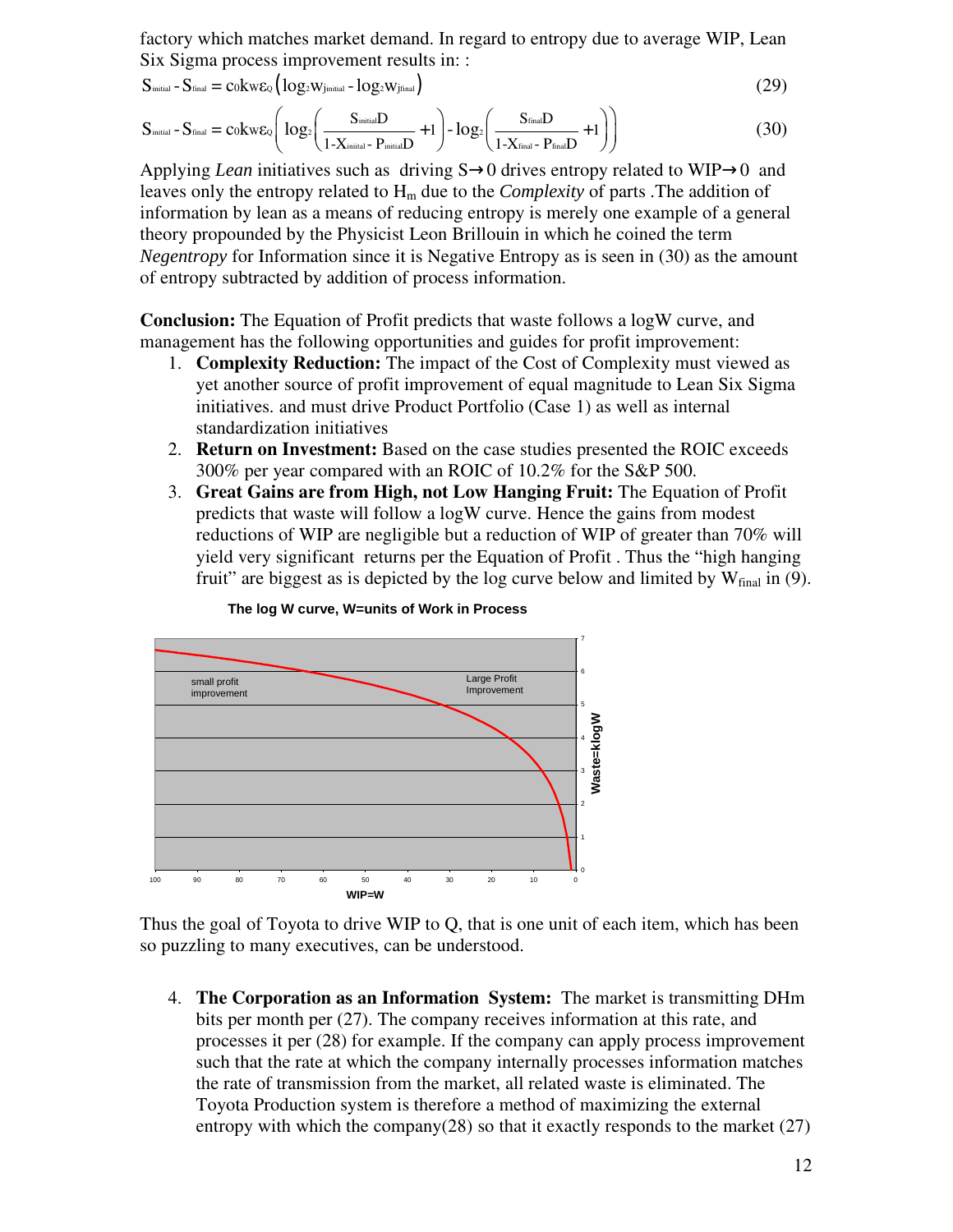factory which matches market demand. In regard to entropy due to average WIP, Lean Six Sigma process improvement results in: :

$$
S_{\text{initial}} - S_{\text{final}} = c_0 k w \epsilon_0 \left( \log_2 w_{\text{initial}} - \log_2 w_{\text{final}} \right) \tag{29}
$$

$$
S_{initial} - S_{final} = c_0 k w \epsilon_0 \left( \log_2 \left( \frac{S_{initial} D}{1 - X_{initial} - P_{initial} D} + 1 \right) - \log_2 \left( \frac{S_{final} D}{1 - X_{final} - P_{final} D} + 1 \right) \right)
$$
(30)

Applying *Lean* initiatives such as driving S→0 drives entropy related to WIP→0 and leaves only the entropy related to  $H_m$  due to the *Complexity* of parts . The addition of information by lean as a means of reducing entropy is merely one example of a general theory propounded by the Physicist Leon Brillouin in which he coined the term *Negentropy* for Information since it is Negative Entropy as is seen in (30) as the amount of entropy subtracted by addition of process information.

**Conclusion:** The Equation of Profit predicts that waste follows a logW curve, and management has the following opportunities and guides for profit improvement:

- 1. **Complexity Reduction:** The impact of the Cost of Complexity must viewed as yet another source of profit improvement of equal magnitude to Lean Six Sigma initiatives. and must drive Product Portfolio (Case 1) as well as internal standardization initiatives
- 2. **Return on Investment:** Based on the case studies presented the ROIC exceeds 300% per year compared with an ROIC of 10.2% for the S&P 500.
- 3. **Great Gains are from High, not Low Hanging Fruit:** The Equation of Profit predicts that waste will follow a logW curve. Hence the gains from modest reductions of WIP are negligible but a reduction of WIP of greater than 70% will yield very significant returns per the Equation of Profit . Thus the "high hanging fruit" are biggest as is depicted by the log curve below and limited by  $W_{final}$  in (9).





Thus the goal of Toyota to drive WIP to Q, that is one unit of each item, which has been so puzzling to many executives, can be understood.

4. **The Corporation as an Information System:** The market is transmitting DHm bits per month per (27). The company receives information at this rate, and processes it per (28) for example. If the company can apply process improvement such that the rate at which the company internally processes information matches the rate of transmission from the market, all related waste is eliminated. The Toyota Production system is therefore a method of maximizing the external entropy with which the company(28) so that it exactly responds to the market (27)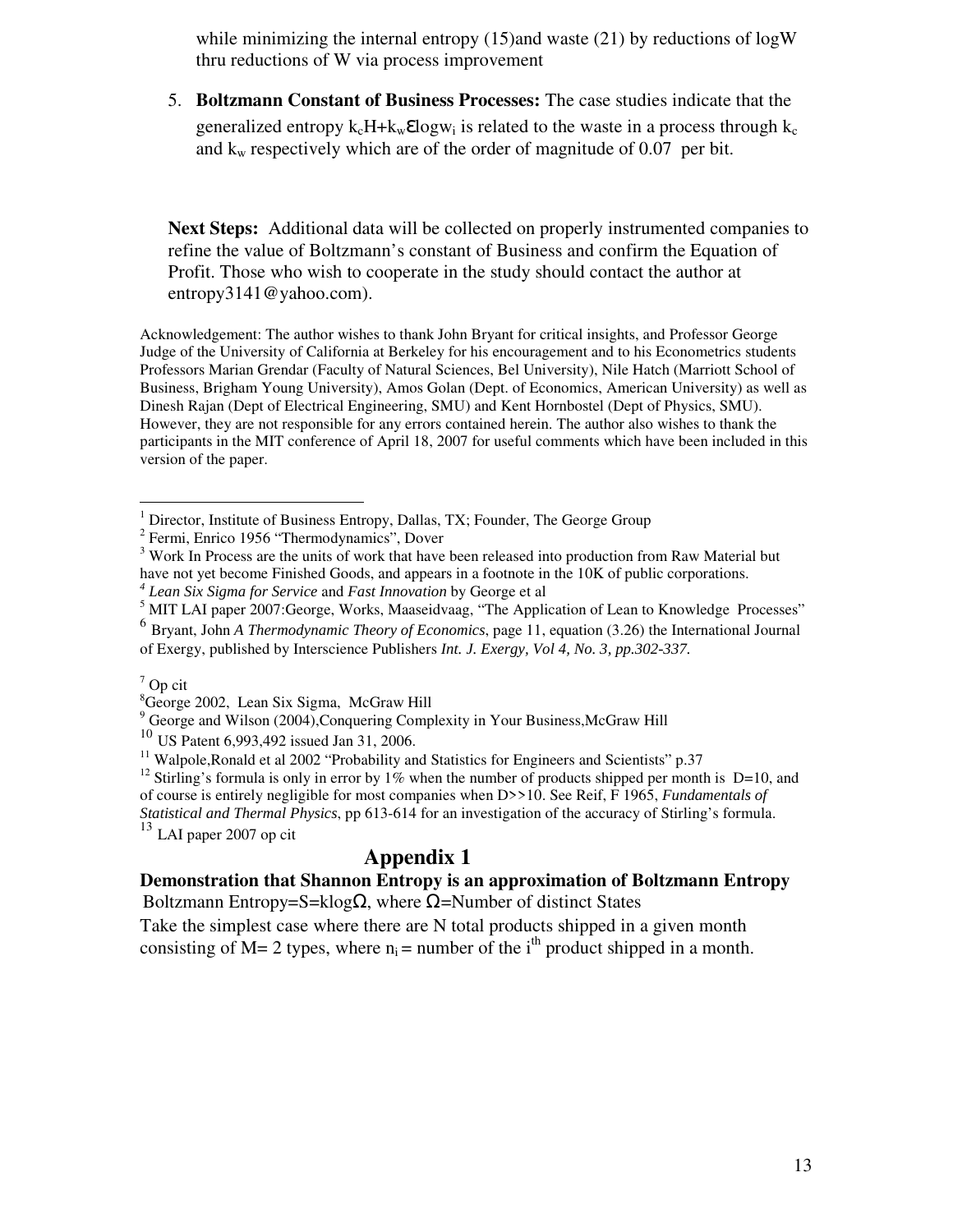while minimizing the internal entropy  $(15)$  and waste  $(21)$  by reductions of logW thru reductions of W via process improvement

5. **Boltzmann Constant of Business Processes:** The case studies indicate that the generalized entropy  $k_cH + k_w \mathcal{E} \log w_i$  is related to the waste in a process through  $k_c$ and  $k_w$  respectively which are of the order of magnitude of 0.07 per bit.

**Next Steps:** Additional data will be collected on properly instrumented companies to refine the value of Boltzmann's constant of Business and confirm the Equation of Profit. Those who wish to cooperate in the study should contact the author at entropy3141@yahoo.com).

Acknowledgement: The author wishes to thank John Bryant for critical insights, and Professor George Judge of the University of California at Berkeley for his encouragement and to his Econometrics students Professors Marian Grendar (Faculty of Natural Sciences, Bel University), Nile Hatch (Marriott School of Business, Brigham Young University), Amos Golan (Dept. of Economics, American University) as well as Dinesh Rajan (Dept of Electrical Engineering, SMU) and Kent Hornbostel (Dept of Physics, SMU). However, they are not responsible for any errors contained herein. The author also wishes to thank the participants in the MIT conference of April 18, 2007 for useful comments which have been included in this version of the paper.

<u>.</u>

<sup>9</sup> George and Wilson (2004), Conquering Complexity in Your Business, McGraw Hill

 $11$  Walpole, Ronald et al 2002 "Probability and Statistics for Engineers and Scientists" p.37

*Statistical and Thermal Physics*, pp 613-614 for an investigation of the accuracy of Stirling's formula.  $13$  LAI paper 2007 op cit

## **Appendix 1**

## **Demonstration that Shannon Entropy is an approximation of Boltzmann Entropy**

Boltzmann Entropy=S=klog  $\Omega$ , where  $\Omega$ =Number of distinct States

Take the simplest case where there are N total products shipped in a given month consisting of M= 2 types, where  $n_i =$  number of the i<sup>th</sup> product shipped in a month.

<sup>&</sup>lt;sup>1</sup> Director, Institute of Business Entropy, Dallas, TX; Founder, The George Group

<sup>&</sup>lt;sup>2</sup> Fermi, Enrico 1956 "Thermodynamics", Dover

<sup>&</sup>lt;sup>3</sup> Work In Process are the units of work that have been released into production from Raw Material but have not yet become Finished Goods, and appears in a footnote in the 10K of public corporations.

*<sup>4</sup> Lean Six Sigma for Service* and *Fast Innovation* by George et al

<sup>&</sup>lt;sup>5</sup> MIT LAI paper 2007: George, Works, Maaseidvaag, "The Application of Lean to Knowledge Processes"

<sup>6</sup> Bryant, John *A Thermodynamic Theory of Economics*, page 11, equation (3.26) the International Journal of Exergy, published by Interscience Publishers *Int. J. Exergy, Vol 4, No. 3, pp.302-337.* 

 $7$  Op cit

<sup>8</sup>George 2002, Lean Six Sigma, McGraw Hill

<sup>&</sup>lt;sup>10</sup> US Patent 6,993,492 issued Jan 31, 2006.

<sup>&</sup>lt;sup>12</sup> Stirling's formula is only in error by 1% when the number of products shipped per month is D=10, and of course is entirely negligible for most companies when D>>10. See Reif, F 1965, *Fundamentals of*